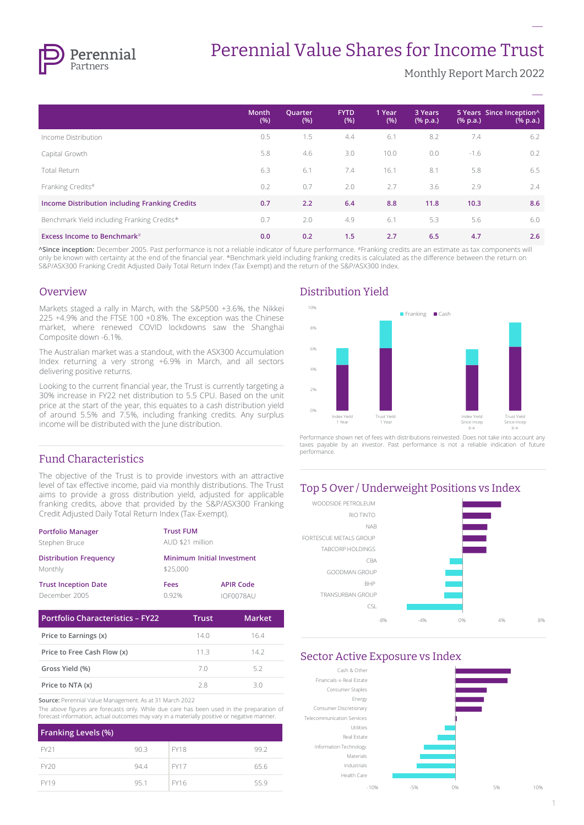

# Perennial Value Shares for Income Trust

Monthly Report March 2022

**–**

|                                                | <b>Month</b><br>(% ) | Quarter<br>(% ) | <b>FYTD</b><br>(% ) | 1 Year<br>(% ) | 3 Years<br>$(% \mathbf{a})$ (% p.a.) | $(% \mathbf{a})$ (% p.a.) | 5 Years Since Inception^<br>$(% \mathbf{a})$ (% p.a.) |
|------------------------------------------------|----------------------|-----------------|---------------------|----------------|--------------------------------------|---------------------------|-------------------------------------------------------|
| Income Distribution                            | 0.5                  | 1.5             | 4.4                 | 6.1            | 8.2                                  | 7.4                       | 6.2                                                   |
| Capital Growth                                 | 5.8                  | 4.6             | 3.0                 | 10.0           | 0.0                                  | $-1.6$                    | 0.2                                                   |
| Total Return                                   | 6.3                  | 6.1             | 7.4                 | 16.1           | 8.1                                  | 5.8                       | 6.5                                                   |
| Franking Credits#                              | 0.2                  | 0.7             | 2.0                 | 2.7            | 3.6                                  | 2.9                       | 2.4                                                   |
| Income Distribution including Franking Credits | 0.7                  | 2.2             | 6.4                 | 8.8            | 11.8                                 | 10.3                      | 8.6                                                   |
| Benchmark Yield including Franking Credits*    | 0.7                  | 2.0             | 4.9                 | 6.1            | 5.3                                  | 5.6                       | 6.0                                                   |
| <b>Excess Income to Benchmark</b> #            | 0.0                  | 0.2             | 1.5                 | 2.7            | 6.5                                  | 4.7                       | 2.6                                                   |

**^Since inception:** December 2005. Past performance is not a reliable indicator of future performance. #Franking credits are an estimate as tax components will only be known with certainty at the end of the financial year. \*Benchmark yield including franking credits is calculated as the difference between the return on S&P/ASX300 Franking Credit Adjusted Daily Total Return Index (Tax Exempt) and the return of the S&P/ASX300 Index.

#### Overview

Markets staged a rally in March, with the S&P500 +3.6%, the Nikkei 225 +4.9% and the FTSE 100 +0.8%. The exception was the Chinese market, where renewed COVID lockdowns saw the Shanghai Composite down -6.1%.

The Australian market was a standout, with the ASX300 Accumulation Index returning a very strong +6.9% in March, and all sectors delivering positive returns.

Looking to the current financial year, the Trust is currently targeting a 30% increase in FY22 net distribution to 5.5 CPU. Based on the unit price at the start of the year, this equates to a cash distribution yield of around 5.5% and 7.5%, including franking credits. Any surplus income will be distributed with the June distribution.

# Fund Characteristics

The objective of the Trust is to provide investors with an attractive level of tax effective income, paid via monthly distributions. The Trust aims to provide a gross distribution yield, adjusted for applicable franking credits, above that provided by the S&P/ASX300 Franking Credit Adjusted Daily Total Return Index (Tax-Exempt).

| <b>Trust FUM</b>           |                  |  |
|----------------------------|------------------|--|
| AUD \$21 million           |                  |  |
| Minimum Initial Investment |                  |  |
| \$25,000                   |                  |  |
| Fees                       | <b>APIR Code</b> |  |
| 0.92%                      | IOF0078AU        |  |
|                            |                  |  |

| <b>Portfolio Characteristics - FY22</b> | Trust | <b>Market</b> |
|-----------------------------------------|-------|---------------|
| Price to Earnings (x)                   | 140   | 164           |
| Price to Free Cash Flow (x)             | 113   | 142           |
| Gross Yield (%)                         | 70    | 52            |
| Price to NTA (x)                        | 28    | 30            |

**Source:** Perennial Value Management. As at 31 March 2022

The above figures are forecasts only. While due care has been used in the preparation of forecast information, actual outcomes may vary in a materially positive or negative manner.

| <b>Franking Levels (%)</b> |      |             |      |
|----------------------------|------|-------------|------|
| FY <sub>21</sub>           | 90.3 | <b>FY18</b> | 99.2 |
| <b>FY20</b>                | 94.4 | <b>FY17</b> | 65.6 |
| <b>FY19</b>                | 95.1 | FY16        | 55.9 |

# Distribution Yield



Performance shown net of fees with distributions reinvested. Does not take into account any taxes payable by an investor. Past performance is not a reliable indication of future performance.

#### Top 5 Over / Underweight Positions vs Index



#### Sector Active Exposure vs Index